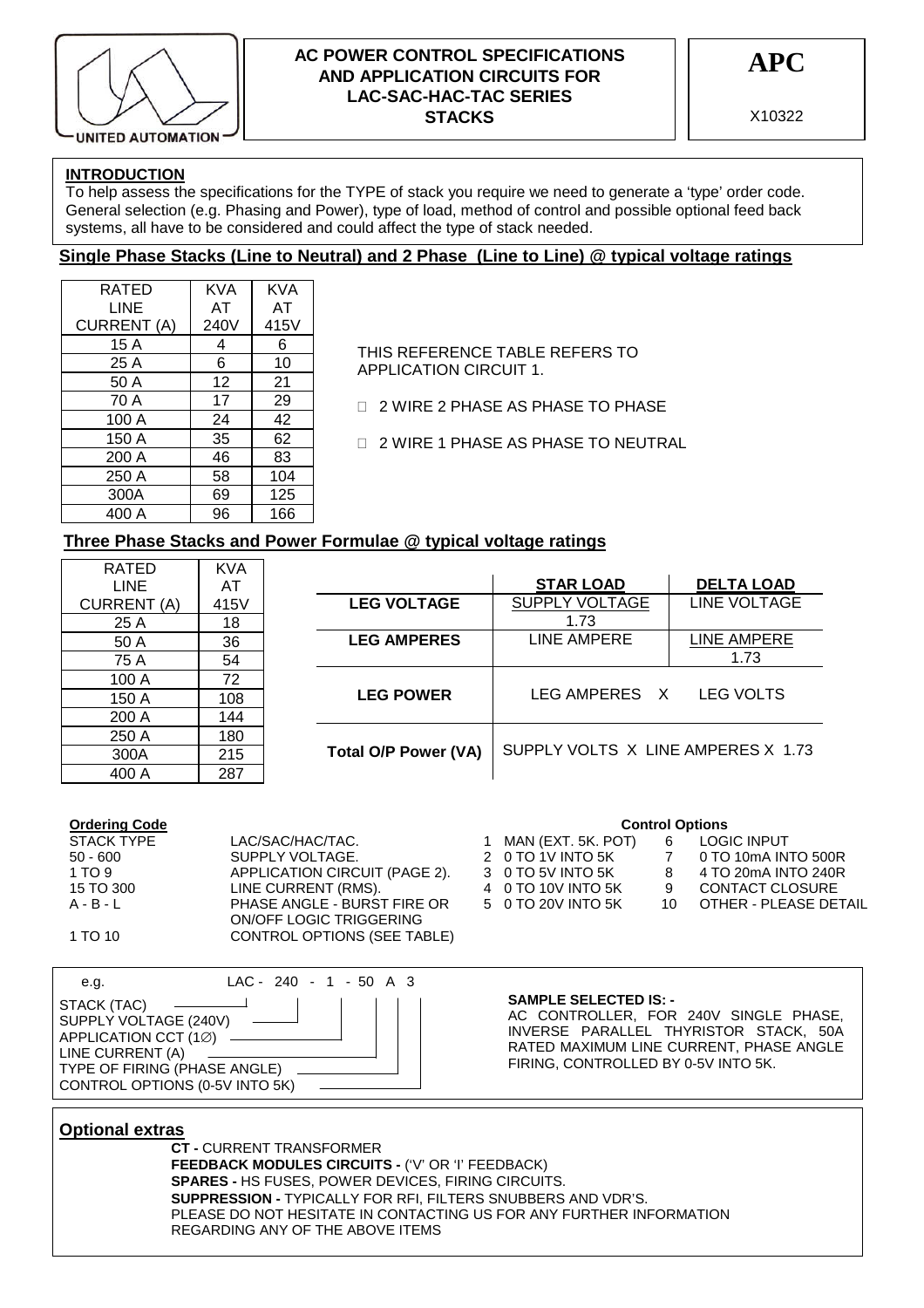

#### **AC POWER CONTROL SPECIFICATIONS AND APPLICATION CIRCUITS FOR LAC-SAC-HAC-TAC SERIES STACKS**

**APC** 

X10322

PLEASE DETAIL

**INTRODUCTION**

To help assess the specifications for the TYPE of stack you require we need to generate a 'type' order code. General selection (e.g. Phasing and Power), type of load, method of control and possible optional feed back systems, all have to be considered and could affect the type of stack needed.

# **Single Phase Stacks (Line to Neutral) and 2 Phase (Line to Line) @ typical voltage ratings**

| <b>RATED</b>       | KVA  | <b>KVA</b> |
|--------------------|------|------------|
| LINE               | AT   | AT         |
| <b>CURRENT (A)</b> | 240V | 415V       |
| 15 A               | 4    | 6          |
| 25 A               | 6    | 10         |
| 50 A               | 12   | 21         |
| 70 A               | 17   | 29         |
| 100 A              | 24   | 42         |
| 150 A              | 35   | 62         |
| 200 A              | 46   | 83         |
| 250 A              | 58   | 104        |
| 300A               | 69   | 125        |
| 400 A              | 96   | 166        |

THIS REFERENCE TABLE REFERS TO APPLICATION CIRCUIT 1.

- □ 2 WIRE 2 PHASE AS PHASE TO PHASE
- D 2 WIRE 1 PHASE AS PHASE TO NEUTRAL

## **Three Phase Stacks and Power Formulae @ typical voltage ratings**

| RATED              | <b>KVA</b> |                             |                                    |                    |
|--------------------|------------|-----------------------------|------------------------------------|--------------------|
| <b>LINE</b>        | AT         |                             | <b>STAR LOAD</b>                   | <b>DELTA LOAD</b>  |
| <b>CURRENT (A)</b> | 415V       | <b>LEG VOLTAGE</b>          | <b>SUPPLY VOLTAGE</b>              | LINE VOLTAGE       |
| 25 A               | 18         |                             | 1.73                               |                    |
| 50 A               | 36         | <b>LEG AMPERES</b>          | LINE AMPERE                        | <b>LINE AMPERE</b> |
| 75 A               | 54         |                             |                                    | 1.73               |
| 100 A              | 72         |                             |                                    |                    |
| 150 A              | 108        | <b>LEG POWER</b>            | LEG AMPERES X                      | <b>LEG VOLTS</b>   |
| 200 A              | 144        |                             |                                    |                    |
| 250 A              | 180        |                             |                                    |                    |
| 300A               | 215        | <b>Total O/P Power (VA)</b> | SUPPLY VOLTS X LINE AMPERES X 1.73 |                    |
| 400 A              | 287        |                             |                                    |                    |

#### **Ordering Code**

| <b>Ordering Code</b> |                                | <b>Control Options</b>                          |  |  |
|----------------------|--------------------------------|-------------------------------------------------|--|--|
| STACK TYPE           | LAC/SAC/HAC/TAC.               | <b>LOGIC INPUT</b><br>1 MAN (EXT. 5K. POT)<br>6 |  |  |
| $50 - 600$           | SUPPLY VOLTAGE.                | 2 0 TO 1V INTO 5K<br>0 TO 10mA INTO 500R        |  |  |
| 1 TO 9               | APPLICATION CIRCUIT (PAGE 2).  | 4 TO 20mA INTO 240R<br>3 0 TO 5V INTO 5K<br>8   |  |  |
| 15 TO 300            | LINE CURRENT (RMS).            | CONTACT CLOSURE<br>4 0 TO 10V INTO 5K<br>9      |  |  |
| $A - B - L$          | PHASE ANGLE - BURST FIRE OR    | OTHER - PLEASE DET.<br>5 0 TO 20V INTO 5K<br>10 |  |  |
|                      | <b>ON/OFF LOGIC TRIGGERING</b> |                                                 |  |  |
| 1 TO 10              | CONTROL OPTIONS (SEE TABLE)    |                                                 |  |  |
|                      |                                |                                                 |  |  |
|                      |                                |                                                 |  |  |

| e.g.                                                                                                                                                                                | $LAC - 240 - 1 - 50$ A 3 |                                                                                                                                                                                                  |
|-------------------------------------------------------------------------------------------------------------------------------------------------------------------------------------|--------------------------|--------------------------------------------------------------------------------------------------------------------------------------------------------------------------------------------------|
| STACK (TAC)<br>SUPPLY VOLTAGE (240V)<br>APPLICATION CCT (1Ø) -<br>$LINE CURRENT(A)$ $\qquad \qquad \qquad \qquad$<br>TYPE OF FIRING (PHASE ANGLE)<br>CONTROL OPTIONS (0-5V INTO 5K) |                          | <b>SAMPLE SELECTED IS: -</b><br>AC CONTROLLER, FOR 240V SINGLE PHASE,<br>INVERSE PARALLEL THYRISTOR STACK, 50A<br>RATED MAXIMUM LINE CURRENT, PHASE ANGLE<br>FIRING, CONTROLLED BY 0-5V INTO 5K. |

### **Optional extras**

 **CT -** CURRENT TRANSFORMER  **FEEDBACK MODULES CIRCUITS -** ('V' OR 'I' FEEDBACK)  **SPARES -** HS FUSES, POWER DEVICES, FIRING CIRCUITS.  **SUPPRESSION -** TYPICALLY FOR RFI, FILTERS SNUBBERS AND VDR'S. PLEASE DO NOT HESITATE IN CONTACTING US FOR ANY FURTHER INFORMATION REGARDING ANY OF THE ABOVE ITEMS